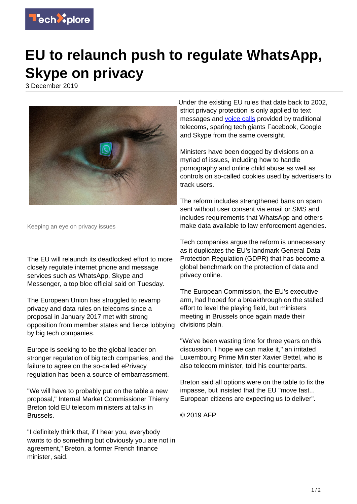

## **EU to relaunch push to regulate WhatsApp, Skype on privacy**

3 December 2019



Keeping an eye on privacy issues

The EU will relaunch its deadlocked effort to more closely regulate internet phone and message services such as WhatsApp, Skype and Messenger, a top bloc official said on Tuesday.

The European Union has struggled to revamp privacy and data rules on telecoms since a proposal in January 2017 met with strong opposition from member states and fierce lobbying by big tech companies.

Europe is seeking to be the global leader on stronger regulation of big tech companies, and the failure to agree on the so-called ePrivacy regulation has been a source of embarrassment.

"We will have to probably put on the table a new proposal," Internal Market Commissioner Thierry Breton told EU telecom ministers at talks in Brussels.

"I definitely think that, if I hear you, everybody wants to do something but obviously you are not in agreement," Breton, a former French finance minister, said.

Under the existing EU rules that date back to 2002, strict privacy protection is only applied to text messages and [voice calls](https://techxplore.com/tags/voice+calls/) provided by traditional telecoms, sparing tech giants Facebook, Google and Skype from the same oversight.

Ministers have been dogged by divisions on a myriad of issues, including how to handle pornography and online child abuse as well as controls on so-called cookies used by advertisers to track users.

The reform includes strengthened bans on spam sent without user consent via email or SMS and includes requirements that WhatsApp and others make data available to law enforcement agencies.

Tech companies argue the reform is unnecessary as it duplicates the EU's landmark General Data Protection Regulation (GDPR) that has become a global benchmark on the protection of data and privacy online.

The European Commission, the EU's executive arm, had hoped for a breakthrough on the stalled effort to level the playing field, but ministers meeting in Brussels once again made their divisions plain.

"We've been wasting time for three years on this discussion, I hope we can make it," an irritated Luxembourg Prime Minister Xavier Bettel, who is also telecom minister, told his counterparts.

Breton said all options were on the table to fix the impasse, but insisted that the EU "move fast... European citizens are expecting us to deliver".

© 2019 AFP